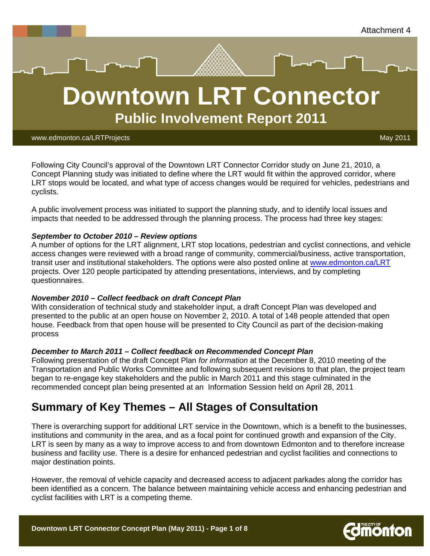



#### www.edmonton.ca/LRTProjects May 2011 - And Control of May 2011 - And Control of May 2011

Following City Council's approval of the Downtown LRT Connector Corridor study on June 21, 2010, a Concept Planning study was initiated to define where the LRT would fit within the approved corridor, where LRT stops would be located, and what type of access changes would be required for vehicles, pedestrians and cyclists.

A public involvement process was initiated to support the planning study, and to identify local issues and impacts that needed to be addressed through the planning process. The process had three key stages:

#### *September to October 2010 – Review options*

A number of options for the LRT alignment, LRT stop locations, pedestrian and cyclist connections, and vehicle access changes were reviewed with a broad range of community, commercial/business, active transportation, transit user and institutional stakeholders. The options were also posted online at www.edmonton.ca/LRT projects. Over 120 people participated by attending presentations, interviews, and by completing questionnaires.

#### *November 2010 – Collect feedback on draft Concept Plan*

With consideration of technical study and stakeholder input, a draft Concept Plan was developed and presented to the public at an open house on November 2, 2010. A total of 148 people attended that open house. Feedback from that open house will be presented to City Council as part of the decision-making process

#### *December to March 2011 – Collect feedback on Recommended Concept Plan*

Following presentation of the draft Concept Plan *for information* at the December 8, 2010 meeting of the Transportation and Public Works Committee and following subsequent revisions to that plan, the project team began to re-engage key stakeholders and the public in March 2011 and this stage culminated in the recommended concept plan being presented at an Information Session held on April 28, 2011

# **Summary of Key Themes – All Stages of Consultation**

There is overarching support for additional LRT service in the Downtown, which is a benefit to the businesses, institutions and community in the area, and as a focal point for continued growth and expansion of the City. LRT is seen by many as a way to improve access to and from downtown Edmonton and to therefore increase business and facility use. There is a desire for enhanced pedestrian and cyclist facilities and connections to major destination points.

However, the removal of vehicle capacity and decreased access to adjacent parkades along the corridor has been identified as a concern. The balance between maintaining vehicle access and enhancing pedestrian and cyclist facilities with LRT is a competing theme.

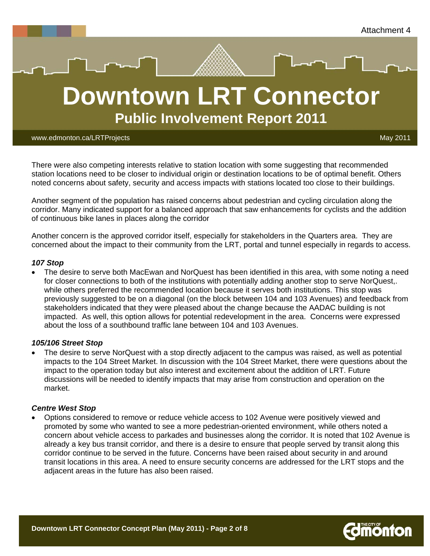



www.edmonton.ca/LRTProjects May 2011

There were also competing interests relative to station location with some suggesting that recommended station locations need to be closer to individual origin or destination locations to be of optimal benefit. Others noted concerns about safety, security and access impacts with stations located too close to their buildings.

Another segment of the population has raised concerns about pedestrian and cycling circulation along the corridor. Many indicated support for a balanced approach that saw enhancements for cyclists and the addition of continuous bike lanes in places along the corridor

Another concern is the approved corridor itself, especially for stakeholders in the Quarters area. They are concerned about the impact to their community from the LRT, portal and tunnel especially in regards to access.

#### *107 Stop*

 The desire to serve both MacEwan and NorQuest has been identified in this area, with some noting a need for closer connections to both of the institutions with potentially adding another stop to serve NorQuest,. while others preferred the recommended location because it serves both institutions. This stop was previously suggested to be on a diagonal (on the block between 104 and 103 Avenues) and feedback from stakeholders indicated that they were pleased about the change because the AADAC building is not impacted. As well, this option allows for potential redevelopment in the area. Concerns were expressed about the loss of a southbound traffic lane between 104 and 103 Avenues.

#### *105/106 Street Stop*

 The desire to serve NorQuest with a stop directly adjacent to the campus was raised, as well as potential impacts to the 104 Street Market. In discussion with the 104 Street Market, there were questions about the impact to the operation today but also interest and excitement about the addition of LRT. Future discussions will be needed to identify impacts that may arise from construction and operation on the market.

#### *Centre West Stop*

 Options considered to remove or reduce vehicle access to 102 Avenue were positively viewed and promoted by some who wanted to see a more pedestrian-oriented environment, while others noted a concern about vehicle access to parkades and businesses along the corridor. It is noted that 102 Avenue is already a key bus transit corridor, and there is a desire to ensure that people served by transit along this corridor continue to be served in the future. Concerns have been raised about security in and around transit locations in this area. A need to ensure security concerns are addressed for the LRT stops and the adjacent areas in the future has also been raised.



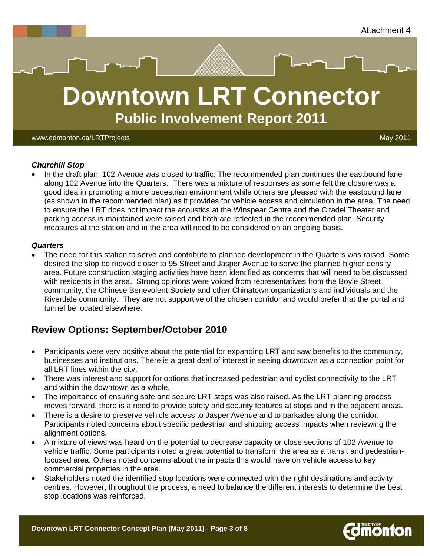



www.edmonton.ca/LRTProjects May 2011

#### *Churchill Stop*

 In the draft plan, 102 Avenue was closed to traffic. The recommended plan continues the eastbound lane along 102 Avenue into the Quarters. There was a mixture of responses as some felt the closure was a good idea in promoting a more pedestrian environment while others are pleased with the eastbound lane (as shown in the recommended plan) as it provides for vehicle access and circulation in the area. The need to ensure the LRT does not impact the acoustics at the Winspear Centre and the Citadel Theater and parking access is maintained were raised and both are reflected in the recommended plan. Security measures at the station and in the area will need to be considered on an ongoing basis.

#### *Quarters*

 The need for this station to serve and contribute to planned development in the Quarters was raised. Some desired the stop be moved closer to 95 Street and Jasper Avenue to serve the planned higher density area. Future construction staging activities have been identified as concerns that will need to be discussed with residents in the area. Strong opinions were voiced from representatives from the Boyle Street community, the Chinese Benevolent Society and other Chinatown organizations and individuals and the Riverdale community. They are not supportive of the chosen corridor and would prefer that the portal and tunnel be located elsewhere.

## **Review Options: September/October 2010**

- Participants were very positive about the potential for expanding LRT and saw benefits to the community, businesses and institutions. There is a great deal of interest in seeing downtown as a connection point for all LRT lines within the city.
- There was interest and support for options that increased pedestrian and cyclist connectivity to the LRT and within the downtown as a whole.
- The importance of ensuring safe and secure LRT stops was also raised. As the LRT planning process moves forward, there is a need to provide safety and security features at stops and in the adjacent areas.
- There is a desire to preserve vehicle access to Jasper Avenue and to parkades along the corridor. Participants noted concerns about specific pedestrian and shipping access impacts when reviewing the alignment options.
- A mixture of views was heard on the potential to decrease capacity or close sections of 102 Avenue to vehicle traffic. Some participants noted a great potential to transform the area as a transit and pedestrianfocused area. Others noted concerns about the impacts this would have on vehicle access to key commercial properties in the area.
- Stakeholders noted the identified stop locations were connected with the right destinations and activity centres. However, throughout the process, a need to balance the different interests to determine the best stop locations was reinforced.

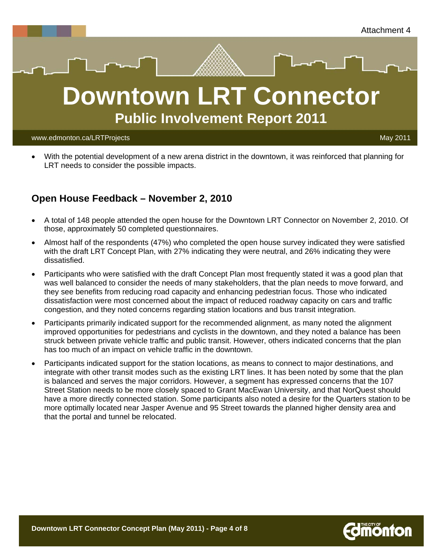



 With the potential development of a new arena district in the downtown, it was reinforced that planning for LRT needs to consider the possible impacts.

### **Open House Feedback – November 2, 2010**

- A total of 148 people attended the open house for the Downtown LRT Connector on November 2, 2010. Of those, approximately 50 completed questionnaires.
- Almost half of the respondents (47%) who completed the open house survey indicated they were satisfied with the draft LRT Concept Plan, with 27% indicating they were neutral, and 26% indicating they were dissatisfied.
- Participants who were satisfied with the draft Concept Plan most frequently stated it was a good plan that was well balanced to consider the needs of many stakeholders, that the plan needs to move forward, and they see benefits from reducing road capacity and enhancing pedestrian focus. Those who indicated dissatisfaction were most concerned about the impact of reduced roadway capacity on cars and traffic congestion, and they noted concerns regarding station locations and bus transit integration.
- Participants primarily indicated support for the recommended alignment, as many noted the alignment improved opportunities for pedestrians and cyclists in the downtown, and they noted a balance has been struck between private vehicle traffic and public transit. However, others indicated concerns that the plan has too much of an impact on vehicle traffic in the downtown.
- Participants indicated support for the station locations, as means to connect to major destinations, and integrate with other transit modes such as the existing LRT lines. It has been noted by some that the plan is balanced and serves the major corridors. However, a segment has expressed concerns that the 107 Street Station needs to be more closely spaced to Grant MacEwan University, and that NorQuest should have a more directly connected station. Some participants also noted a desire for the Quarters station to be more optimally located near Jasper Avenue and 95 Street towards the planned higher density area and that the portal and tunnel be relocated.

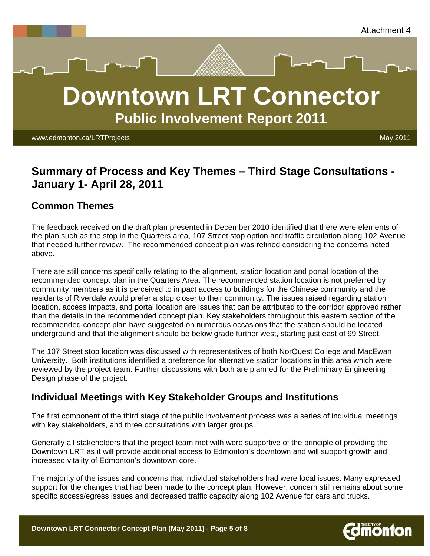



www.edmonton.ca/LRTProjects May 2011

# **Summary of Process and Key Themes – Third Stage Consultations - January 1- April 28, 2011**

### **Common Themes**

The feedback received on the draft plan presented in December 2010 identified that there were elements of the plan such as the stop in the Quarters area, 107 Street stop option and traffic circulation along 102 Avenue that needed further review. The recommended concept plan was refined considering the concerns noted above.

There are still concerns specifically relating to the alignment, station location and portal location of the recommended concept plan in the Quarters Area. The recommended station location is not preferred by community members as it is perceived to impact access to buildings for the Chinese community and the residents of Riverdale would prefer a stop closer to their community. The issues raised regarding station location, access impacts, and portal location are issues that can be attributed to the corridor approved rather than the details in the recommended concept plan. Key stakeholders throughout this eastern section of the recommended concept plan have suggested on numerous occasions that the station should be located underground and that the alignment should be below grade further west, starting just east of 99 Street.

The 107 Street stop location was discussed with representatives of both NorQuest College and MacEwan University. Both institutions identified a preference for alternative station locations in this area which were reviewed by the project team. Further discussions with both are planned for the Preliminary Engineering Design phase of the project.

### **Individual Meetings with Key Stakeholder Groups and Institutions**

The first component of the third stage of the public involvement process was a series of individual meetings with key stakeholders, and three consultations with larger groups.

Generally all stakeholders that the project team met with were supportive of the principle of providing the Downtown LRT as it will provide additional access to Edmonton's downtown and will support growth and increased vitality of Edmonton's downtown core.

The majority of the issues and concerns that individual stakeholders had were local issues. Many expressed support for the changes that had been made to the concept plan. However, concern still remains about some specific access/egress issues and decreased traffic capacity along 102 Avenue for cars and trucks.

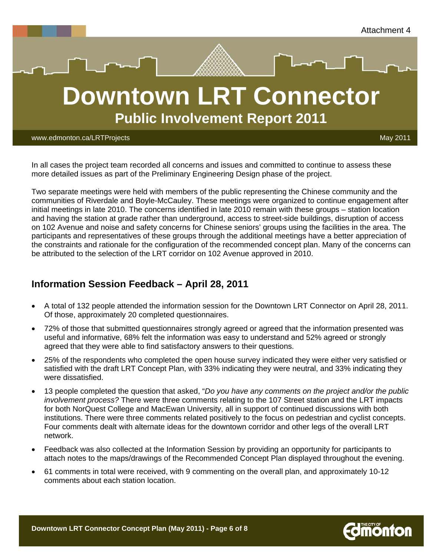

**Public Involvement Report 2011**

www.edmonton.ca/LRTProjects May 2011

In all cases the project team recorded all concerns and issues and committed to continue to assess these more detailed issues as part of the Preliminary Engineering Design phase of the project.

Two separate meetings were held with members of the public representing the Chinese community and the communities of Riverdale and Boyle-McCauley. These meetings were organized to continue engagement after initial meetings in late 2010. The concerns identified in late 2010 remain with these groups – station location and having the station at grade rather than underground, access to street-side buildings, disruption of access on 102 Avenue and noise and safety concerns for Chinese seniors' groups using the facilities in the area. The participants and representatives of these groups through the additional meetings have a better appreciation of the constraints and rationale for the configuration of the recommended concept plan. Many of the concerns can be attributed to the selection of the LRT corridor on 102 Avenue approved in 2010.

### **Information Session Feedback – April 28, 2011**

- A total of 132 people attended the information session for the Downtown LRT Connector on April 28, 2011. Of those, approximately 20 completed questionnaires.
- 72% of those that submitted questionnaires strongly agreed or agreed that the information presented was useful and informative, 68% felt the information was easy to understand and 52% agreed or strongly agreed that they were able to find satisfactory answers to their questions.
- 25% of the respondents who completed the open house survey indicated they were either very satisfied or satisfied with the draft LRT Concept Plan, with 33% indicating they were neutral, and 33% indicating they were dissatisfied.
- 13 people completed the question that asked, "*Do you have any comments on the project and/or the public involvement process?* There were three comments relating to the 107 Street station and the LRT impacts for both NorQuest College and MacEwan University, all in support of continued discussions with both institutions. There were three comments related positively to the focus on pedestrian and cyclist concepts. Four comments dealt with alternate ideas for the downtown corridor and other legs of the overall LRT network.
- Feedback was also collected at the Information Session by providing an opportunity for participants to attach notes to the maps/drawings of the Recommended Concept Plan displayed throughout the evening.
- 61 comments in total were received, with 9 commenting on the overall plan, and approximately 10-12 comments about each station location.

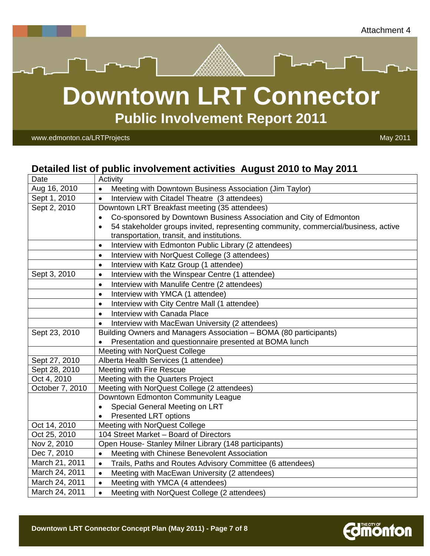



**Public Involvement Report 2011**

www.edmonton.ca/LRTProjects and the control of the control of the control of the control of the control of the control of the control of the control of the control of the control of the control of the control of the contro

## **Detailed list of public involvement activities August 2010 to May 2011**

| Date            | Activity                                                                                        |
|-----------------|-------------------------------------------------------------------------------------------------|
| Aug 16, 2010    | Meeting with Downtown Business Association (Jim Taylor)                                         |
| Sept 1, 2010    | Interview with Citadel Theatre (3 attendees)<br>$\bullet$                                       |
| Sept 2, 2010    | Downtown LRT Breakfast meeting (35 attendees)                                                   |
|                 | Co-sponsored by Downtown Business Association and City of Edmonton<br>$\bullet$                 |
|                 | 54 stakeholder groups invited, representing community, commercial/business, active<br>$\bullet$ |
|                 | transportation, transit, and institutions.                                                      |
|                 | Interview with Edmonton Public Library (2 attendees)<br>$\bullet$                               |
|                 | Interview with NorQuest College (3 attendees)<br>$\bullet$                                      |
|                 | Interview with Katz Group (1 attendee)<br>$\bullet$                                             |
| Sept 3, 2010    | Interview with the Winspear Centre (1 attendee)<br>$\bullet$                                    |
|                 | Interview with Manulife Centre (2 attendees)<br>$\bullet$                                       |
|                 | Interview with YMCA (1 attendee)<br>$\bullet$                                                   |
|                 | Interview with City Centre Mall (1 attendee)<br>$\bullet$                                       |
|                 | Interview with Canada Place<br>$\bullet$                                                        |
|                 | Interview with MacEwan University (2 attendees)<br>$\bullet$                                    |
| Sept 23, 2010   | Building Owners and Managers Association - BOMA (80 participants)                               |
|                 | Presentation and questionnaire presented at BOMA lunch<br>$\bullet$                             |
|                 | Meeting with NorQuest College                                                                   |
| Sept 27, 2010   | Alberta Health Services (1 attendee)                                                            |
| Sept 28, 2010   | <b>Meeting with Fire Rescue</b>                                                                 |
| Oct 4, 2010     | Meeting with the Quarters Project                                                               |
| October 7, 2010 | Meeting with NorQuest College (2 attendees)                                                     |
|                 | Downtown Edmonton Community League                                                              |
|                 | Special General Meeting on LRT<br>$\bullet$                                                     |
|                 | <b>Presented LRT options</b><br>$\bullet$                                                       |
| Oct 14, 2010    | Meeting with NorQuest College                                                                   |
| Oct 25, 2010    | 104 Street Market - Board of Directors                                                          |
| Nov 2, 2010     | Open House- Stanley Milner Library (148 participants)                                           |
| Dec 7, 2010     | Meeting with Chinese Benevolent Association<br>$\bullet$                                        |
| March 21, 2011  | Trails, Paths and Routes Advisory Committee (6 attendees)<br>$\bullet$                          |
| March 24, 2011  | Meeting with MacEwan University (2 attendees)<br>$\bullet$                                      |
| March 24, 2011  | Meeting with YMCA (4 attendees)<br>$\bullet$                                                    |
| March 24, 2011  | Meeting with NorQuest College (2 attendees)                                                     |